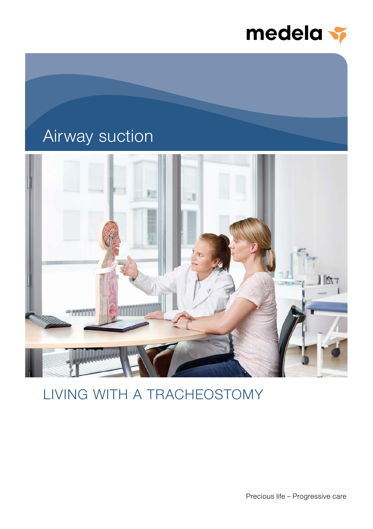

## Airway suction



## LIVING WITH A TRACHEOSTOMY

Precious life – Progressive care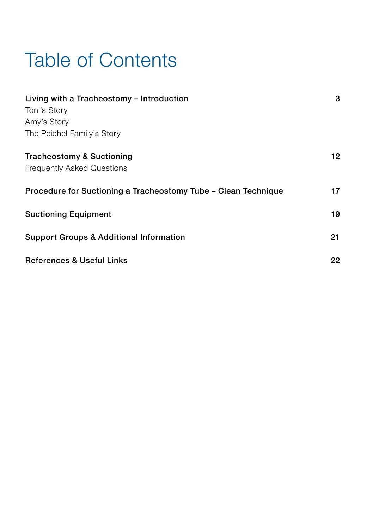## Table of Contents

| Living with a Tracheostomy - Introduction<br>Toni's Story<br>Amy's Story | 3  |
|--------------------------------------------------------------------------|----|
| The Peichel Family's Story                                               |    |
| Tracheostomy & Suctioning<br><b>Frequently Asked Questions</b>           | 12 |
| Procedure for Suctioning a Tracheostomy Tube – Clean Technique           | 17 |
| <b>Suctioning Equipment</b>                                              | 19 |
| <b>Support Groups &amp; Additional Information</b>                       | 21 |
| <b>References &amp; Useful Links</b>                                     | 22 |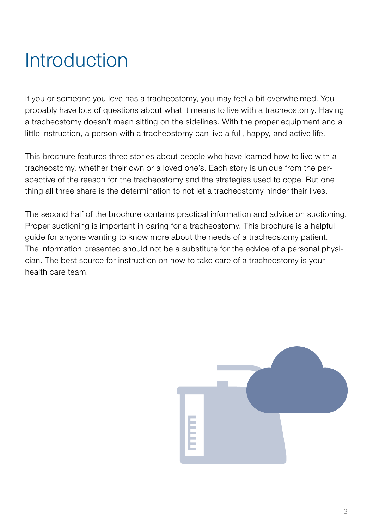## Introduction

If you or someone you love has a tracheostomy, you may feel a bit overwhelmed. You probably have lots of questions about what it means to live with a tracheostomy. Having a tracheostomy doesn't mean sitting on the sidelines. With the proper equipment and a little instruction, a person with a tracheostomy can live a full, happy, and active life.

This brochure features three stories about people who have learned how to live with a tracheostomy, whether their own or a loved one's. Each story is unique from the perspective of the reason for the tracheostomy and the strategies used to cope. But one thing all three share is the determination to not let a tracheostomy hinder their lives.

The second half of the brochure contains practical information and advice on suctioning. Proper suctioning is important in caring for a tracheostomy. This brochure is a helpful guide for anyone wanting to know more about the needs of a tracheostomy patient. The information presented should not be a substitute for the advice of a personal physician. The best source for instruction on how to take care of a tracheostomy is your health care team.

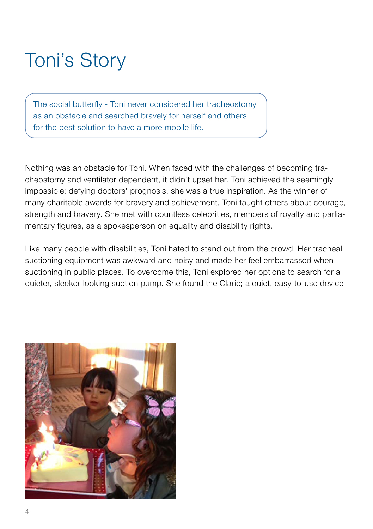## Toni's Story

The social butterfly - Toni never considered her tracheostomy as an obstacle and searched bravely for herself and others for the best solution to have a more mobile life.

Nothing was an obstacle for Toni. When faced with the challenges of becoming tracheostomy and ventilator dependent, it didn't upset her. Toni achieved the seemingly impossible; defying doctors' prognosis, she was a true inspiration. As the winner of many charitable awards for bravery and achievement, Toni taught others about courage, strength and bravery. She met with countless celebrities, members of royalty and parliamentary figures, as a spokesperson on equality and disability rights.

Like many people with disabilities, Toni hated to stand out from the crowd. Her tracheal suctioning equipment was awkward and noisy and made her feel embarrassed when suctioning in public places. To overcome this, Toni explored her options to search for a quieter, sleeker-looking suction pump. She found the Clario; a quiet, easy-to-use device

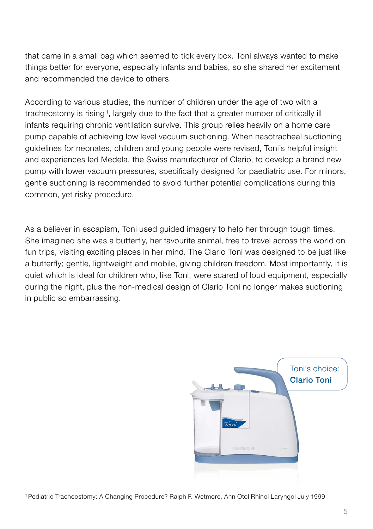that came in a small bag which seemed to tick every box. Toni always wanted to make things better for everyone, especially infants and babies, so she shared her excitement and recommended the device to others.

According to various studies, the number of children under the age of two with a tracheostomy is rising <sup>1</sup> , largely due to the fact that a greater number of critically ill infants requiring chronic ventilation survive. This group relies heavily on a home care pump capable of achieving low level vacuum suctioning. When nasotracheal suctioning guidelines for neonates, children and young people were revised, Toni's helpful insight and experiences led Medela, the Swiss manufacturer of Clario, to develop a brand new pump with lower vacuum pressures, specifically designed for paediatric use. For minors, gentle suctioning is recommended to avoid further potential complications during this common, yet risky procedure.

As a believer in escapism, Toni used guided imagery to help her through tough times. She imagined she was a butterfly, her favourite animal, free to travel across the world on fun trips, visiting exciting places in her mind. The Clario Toni was designed to be just like a butterfly; gentle, lightweight and mobile, giving children freedom. Most importantly, it is quiet which is ideal for children who, like Toni, were scared of loud equipment, especially during the night, plus the non-medical design of Clario Toni no longer makes suctioning in public so embarrassing.



1Pediatric Tracheostomy: A Changing Procedure? Ralph F. Wetmore, Ann Otol Rhinol Laryngol July 1999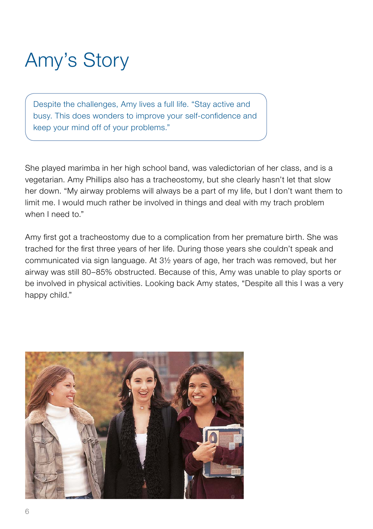## Amy's Story

Despite the challenges, Amy lives a full life. "Stay active and busy. This does wonders to improve your self-confidence and keep your mind off of your problems."

She played marimba in her high school band, was valedictorian of her class, and is a vegetarian. Amy Phillips also has a tracheostomy, but she clearly hasn't let that slow her down. "My airway problems will always be a part of my life, but I don't want them to limit me. I would much rather be involved in things and deal with my trach problem when I need to."

Amy first got a tracheostomy due to a complication from her premature birth. She was trached for the first three years of her life. During those years she couldn't speak and communicated via sign language. At 3½ years of age, her trach was removed, but her airway was still 80–85% obstructed. Because of this, Amy was unable to play sports or be involved in physical activities. Looking back Amy states, "Despite all this I was a very happy child."

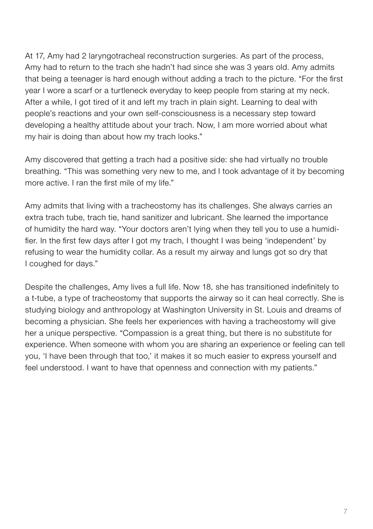At 17, Amy had 2 laryngotracheal reconstruction surgeries. As part of the process, Amy had to return to the trach she hadn't had since she was 3 years old. Amy admits that being a teenager is hard enough without adding a trach to the picture. "For the first year I wore a scarf or a turtleneck everyday to keep people from staring at my neck. After a while, I got tired of it and left my trach in plain sight. Learning to deal with people's reactions and your own self-consciousness is a necessary step toward developing a healthy attitude about your trach. Now, I am more worried about what my hair is doing than about how my trach looks."

Amy discovered that getting a trach had a positive side: she had virtually no trouble breathing. "This was something very new to me, and I took advantage of it by becoming more active. I ran the first mile of my life."

Amy admits that living with a tracheostomy has its challenges. She always carries an extra trach tube, trach tie, hand sanitizer and lubricant. She learned the importance of humidity the hard way. "Your doctors aren't lying when they tell you to use a humidifier. In the first few days after I got my trach, I thought I was being 'independent' by refusing to wear the humidity collar. As a result my airway and lungs got so dry that I coughed for days."

Despite the challenges, Amy lives a full life. Now 18, she has transitioned indefinitely to a t-tube, a type of tracheostomy that supports the airway so it can heal correctly. She is studying biology and anthropology at Washington University in St. Louis and dreams of becoming a physician. She feels her experiences with having a tracheostomy will give her a unique perspective. "Compassion is a great thing, but there is no substitute for experience. When someone with whom you are sharing an experience or feeling can tell you, 'I have been through that too,' it makes it so much easier to express yourself and feel understood. I want to have that openness and connection with my patients."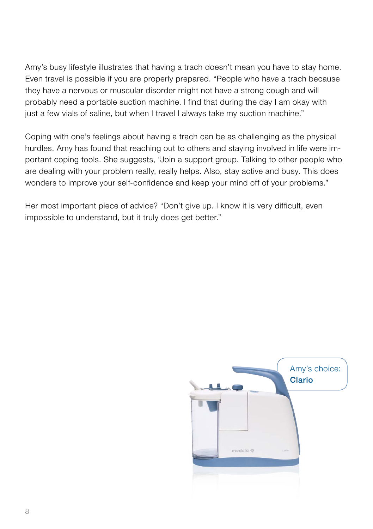Amy's busy lifestyle illustrates that having a trach doesn't mean you have to stay home. Even travel is possible if you are properly prepared. "People who have a trach because they have a nervous or muscular disorder might not have a strong cough and will probably need a portable suction machine. I find that during the day I am okay with just a few vials of saline, but when I travel I always take my suction machine."

Coping with one's feelings about having a trach can be as challenging as the physical hurdles. Amy has found that reaching out to others and staying involved in life were important coping tools. She suggests, "Join a support group. Talking to other people who are dealing with your problem really, really helps. Also, stay active and busy. This does wonders to improve your self-confidence and keep your mind off of your problems."

Her most important piece of advice? "Don't give up. I know it is very difficult, even impossible to understand, but it truly does get better."

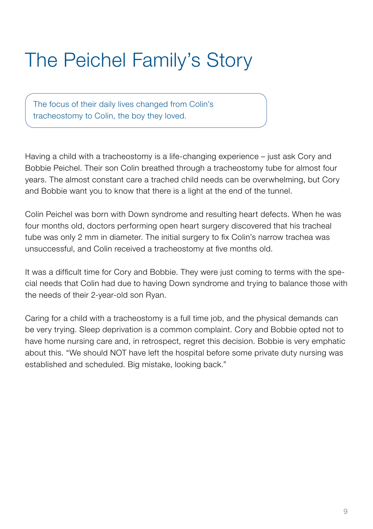## The Peichel Family's Story

The focus of their daily lives changed from Colin's tracheostomy to Colin, the boy they loved.

Having a child with a tracheostomy is a life-changing experience – just ask Cory and Bobbie Peichel. Their son Colin breathed through a tracheostomy tube for almost four years. The almost constant care a trached child needs can be overwhelming, but Cory and Bobbie want you to know that there is a light at the end of the tunnel.

Colin Peichel was born with Down syndrome and resulting heart defects. When he was four months old, doctors performing open heart surgery discovered that his tracheal tube was only 2 mm in diameter. The initial surgery to fix Colin's narrow trachea was unsuccessful, and Colin received a tracheostomy at five months old.

It was a difficult time for Cory and Bobbie. They were just coming to terms with the special needs that Colin had due to having Down syndrome and trying to balance those with the needs of their 2-year-old son Ryan.

Caring for a child with a tracheostomy is a full time job, and the physical demands can be very trying. Sleep deprivation is a common complaint. Cory and Bobbie opted not to have home nursing care and, in retrospect, regret this decision. Bobbie is very emphatic about this. "We should NOT have left the hospital before some private duty nursing was established and scheduled. Big mistake, looking back."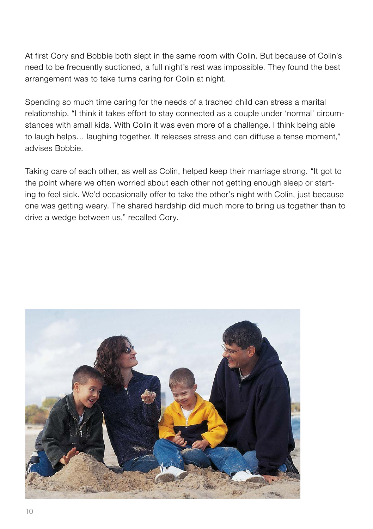At first Cory and Bobbie both slept in the same room with Colin. But because of Colin's need to be frequently suctioned, a full night's rest was impossible. They found the best arrangement was to take turns caring for Colin at night.

Spending so much time caring for the needs of a trached child can stress a marital relationship. "I think it takes effort to stay connected as a couple under 'normal' circumstances with small kids. With Colin it was even more of a challenge. I think being able to laugh helps… laughing together. It releases stress and can diffuse a tense moment," advises Bobbie.

Taking care of each other, as well as Colin, helped keep their marriage strong. "It got to the point where we often worried about each other not getting enough sleep or starting to feel sick. We'd occasionally offer to take the other's night with Colin, just because one was getting weary. The shared hardship did much more to bring us together than to drive a wedge between us," recalled Cory.

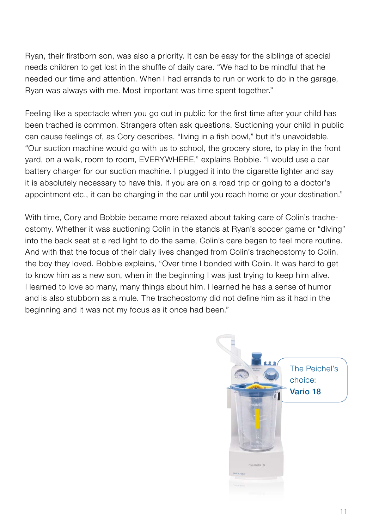Ryan, their firstborn son, was also a priority. It can be easy for the siblings of special needs children to get lost in the shuffle of daily care. "We had to be mindful that he needed our time and attention. When I had errands to run or work to do in the garage, Ryan was always with me. Most important was time spent together."

Feeling like a spectacle when you go out in public for the first time after your child has been trached is common. Strangers often ask questions. Suctioning your child in public can cause feelings of, as Cory describes, "living in a fish bowl," but it's unavoidable. "Our suction machine would go with us to school, the grocery store, to play in the front yard, on a walk, room to room, EVERYWHERE," explains Bobbie. "I would use a car battery charger for our suction machine. I plugged it into the cigarette lighter and say it is absolutely necessary to have this. If you are on a road trip or going to a doctor's appointment etc., it can be charging in the car until you reach home or your destination."

With time, Cory and Bobbie became more relaxed about taking care of Colin's tracheostomy. Whether it was suctioning Colin in the stands at Ryan's soccer game or "diving" into the back seat at a red light to do the same, Colin's care began to feel more routine. And with that the focus of their daily lives changed from Colin's tracheostomy to Colin, the boy they loved. Bobbie explains, "Over time I bonded with Colin. It was hard to get to know him as a new son, when in the beginning I was just trying to keep him alive. I learned to love so many, many things about him. I learned he has a sense of humor and is also stubborn as a mule. The tracheostomy did not define him as it had in the beginning and it was not my focus as it once had been."

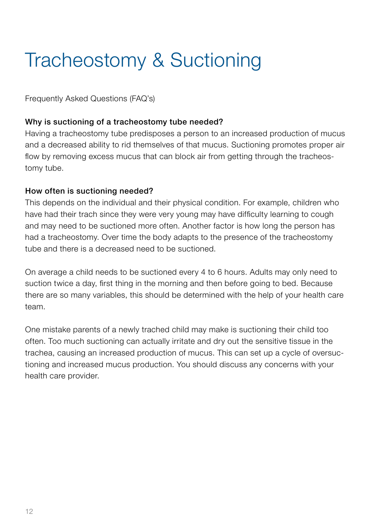## Tracheostomy & Suctioning

Frequently Asked Questions (FAQ's)

#### Why is suctioning of a tracheostomy tube needed?

Having a tracheostomy tube predisposes a person to an increased production of mucus and a decreased ability to rid themselves of that mucus. Suctioning promotes proper air flow by removing excess mucus that can block air from getting through the tracheostomy tube.

### How often is suctioning needed?

This depends on the individual and their physical condition. For example, children who have had their trach since they were very young may have difficulty learning to cough and may need to be suctioned more often. Another factor is how long the person has had a tracheostomy. Over time the body adapts to the presence of the tracheostomy tube and there is a decreased need to be suctioned.

On average a child needs to be suctioned every 4 to 6 hours. Adults may only need to suction twice a day, first thing in the morning and then before going to bed. Because there are so many variables, this should be determined with the help of your health care team

One mistake parents of a newly trached child may make is suctioning their child too often. Too much suctioning can actually irritate and dry out the sensitive tissue in the trachea, causing an increased production of mucus. This can set up a cycle of oversuctioning and increased mucus production. You should discuss any concerns with your health care provider.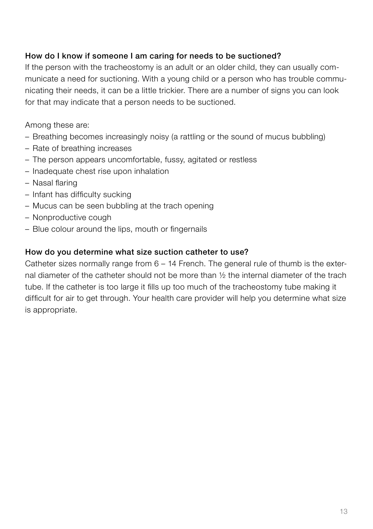### How do I know if someone I am caring for needs to be suctioned?

If the person with the tracheostomy is an adult or an older child, they can usually communicate a need for suctioning. With a young child or a person who has trouble communicating their needs, it can be a little trickier. There are a number of signs you can look for that may indicate that a person needs to be suctioned.

Among these are:

- Breathing becomes increasingly noisy (a rattling or the sound of mucus bubbling)
- Rate of breathing increases
- The person appears uncomfortable, fussy, agitated or restless
- Inadequate chest rise upon inhalation
- Nasal flaring
- Infant has difficulty sucking
- Mucus can be seen bubbling at the trach opening
- Nonproductive cough
- Blue colour around the lips, mouth or fingernails

### How do you determine what size suction catheter to use?

Catheter sizes normally range from 6 – 14 French. The general rule of thumb is the external diameter of the catheter should not be more than ½ the internal diameter of the trach tube. If the catheter is too large it fills up too much of the tracheostomy tube making it difficult for air to get through. Your health care provider will help you determine what size is appropriate.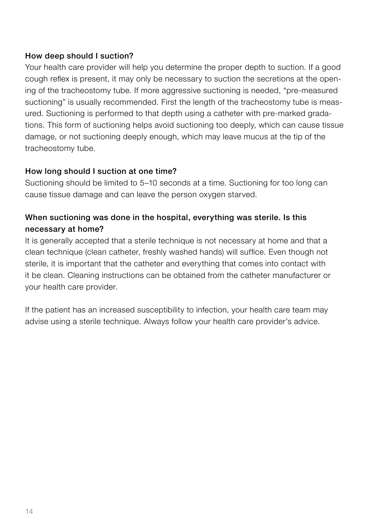### How deep should I suction?

Your health care provider will help you determine the proper depth to suction. If a good cough reflex is present, it may only be necessary to suction the secretions at the opening of the tracheostomy tube. If more aggressive suctioning is needed, "pre-measured suctioning" is usually recommended. First the length of the tracheostomy tube is measured. Suctioning is performed to that depth using a catheter with pre-marked gradations. This form of suctioning helps avoid suctioning too deeply, which can cause tissue damage, or not suctioning deeply enough, which may leave mucus at the tip of the tracheostomy tube.

### How long should I suction at one time?

Suctioning should be limited to 5–10 seconds at a time. Suctioning for too long can cause tissue damage and can leave the person oxygen starved.

## When suctioning was done in the hospital, everything was sterile. Is this necessary at home?

It is generally accepted that a sterile technique is not necessary at home and that a clean technique (clean catheter, freshly washed hands) will suffice. Even though not sterile, it is important that the catheter and everything that comes into contact with it be clean. Cleaning instructions can be obtained from the catheter manufacturer or your health care provider.

If the patient has an increased susceptibility to infection, your health care team may advise using a sterile technique. Always follow your health care provider's advice.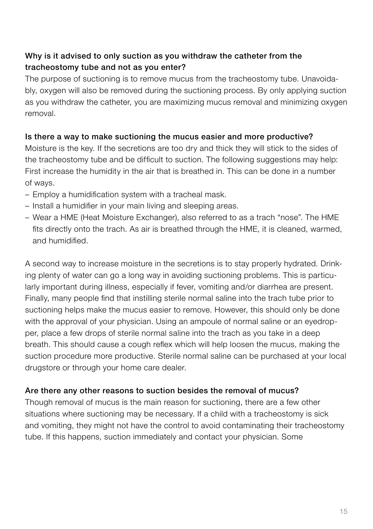## Why is it advised to only suction as you withdraw the catheter from the tracheostomy tube and not as you enter?

The purpose of suctioning is to remove mucus from the tracheostomy tube. Unavoidably, oxygen will also be removed during the suctioning process. By only applying suction as you withdraw the catheter, you are maximizing mucus removal and minimizing oxygen removal.

### Is there a way to make suctioning the mucus easier and more productive?

Moisture is the key. If the secretions are too dry and thick they will stick to the sides of the tracheostomy tube and be difficult to suction. The following suggestions may help: First increase the humidity in the air that is breathed in. This can be done in a number of ways.

- Employ a humidification system with a tracheal mask.
- Install a humidifier in your main living and sleeping areas.
- Wear a HME (Heat Moisture Exchanger), also referred to as a trach "nose". The HME fits directly onto the trach. As air is breathed through the HME, it is cleaned, warmed, and humidified.

A second way to increase moisture in the secretions is to stay properly hydrated. Drinking plenty of water can go a long way in avoiding suctioning problems. This is particularly important during illness, especially if fever, vomiting and/or diarrhea are present. Finally, many people find that instilling sterile normal saline into the trach tube prior to suctioning helps make the mucus easier to remove. However, this should only be done with the approval of your physician. Using an ampoule of normal saline or an eyedropper, place a few drops of sterile normal saline into the trach as you take in a deep breath. This should cause a cough reflex which will help loosen the mucus, making the suction procedure more productive. Sterile normal saline can be purchased at your local drugstore or through your home care dealer.

### Are there any other reasons to suction besides the removal of mucus?

Though removal of mucus is the main reason for suctioning, there are a few other situations where suctioning may be necessary. If a child with a tracheostomy is sick and vomiting, they might not have the control to avoid contaminating their tracheostomy tube. If this happens, suction immediately and contact your physician. Some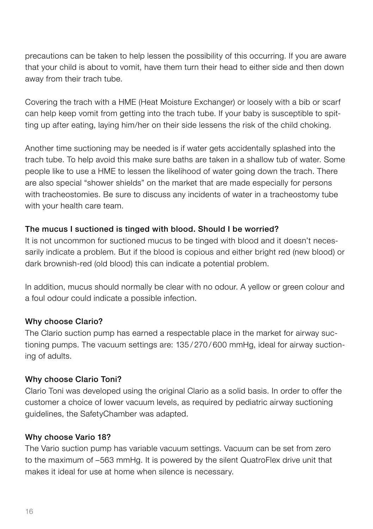precautions can be taken to help lessen the possibility of this occurring. If you are aware that your child is about to vomit, have them turn their head to either side and then down away from their trach tube.

Covering the trach with a HME (Heat Moisture Exchanger) or loosely with a bib or scarf can help keep vomit from getting into the trach tube. If your baby is susceptible to spitting up after eating, laying him/her on their side lessens the risk of the child choking.

Another time suctioning may be needed is if water gets accidentally splashed into the trach tube. To help avoid this make sure baths are taken in a shallow tub of water. Some people like to use a HME to lessen the likelihood of water going down the trach. There are also special "shower shields" on the market that are made especially for persons with tracheostomies. Be sure to discuss any incidents of water in a tracheostomy tube with your health care team.

### The mucus I suctioned is tinged with blood. Should I be worried?

It is not uncommon for suctioned mucus to be tinged with blood and it doesn't necessarily indicate a problem. But if the blood is copious and either bright red (new blood) or dark brownish-red (old blood) this can indicate a potential problem.

In addition, mucus should normally be clear with no odour. A yellow or green colour and a foul odour could indicate a possible infection.

#### Why choose Clario?

The Clario suction pump has earned a respectable place in the market for airway suctioning pumps. The vacuum settings are: 135 / 270 / 600 mmHg, ideal for airway suctioning of adults.

### Why choose Clario Toni?

Clario Toni was developed using the original Clario as a solid basis. In order to offer the customer a choice of lower vacuum levels, as required by pediatric airway suctioning guidelines, the SafetyChamber was adapted.

#### Why choose Vario 18?

The Vario suction pump has variable vacuum settings. Vacuum can be set from zero to the maximum of –563 mmHg. It is powered by the silent QuatroFlex drive unit that makes it ideal for use at home when silence is necessary.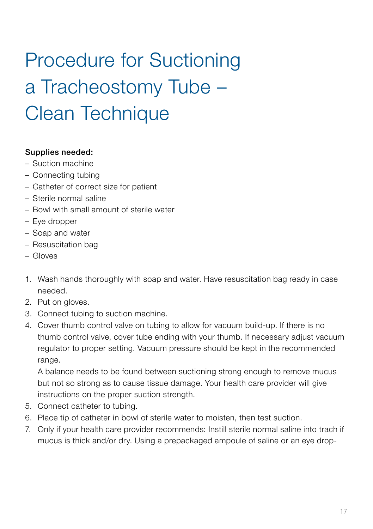# Procedure for Suctioning a Tracheostomy Tube – Clean Technique

### Supplies needed:

- Suction machine
- Connecting tubing
- Catheter of correct size for patient
- Sterile normal saline
- Bowl with small amount of sterile water
- Eye dropper
- Soap and water
- Resuscitation bag
- Gloves
- 1. Wash hands thoroughly with soap and water. Have resuscitation bag ready in case needed.
- 2. Put on gloves.
- 3. Connect tubing to suction machine.
- 4. Cover thumb control valve on tubing to allow for vacuum build-up. If there is no thumb control valve, cover tube ending with your thumb. If necessary adjust vacuum regulator to proper setting. Vacuum pressure should be kept in the recommended range.

A balance needs to be found between suctioning strong enough to remove mucus but not so strong as to cause tissue damage. Your health care provider will give instructions on the proper suction strength.

- 5. Connect catheter to tubing.
- 6. Place tip of catheter in bowl of sterile water to moisten, then test suction.
- 7. Only if your health care provider recommends: Instill sterile normal saline into trach if mucus is thick and/or dry. Using a prepackaged ampoule of saline or an eye drop-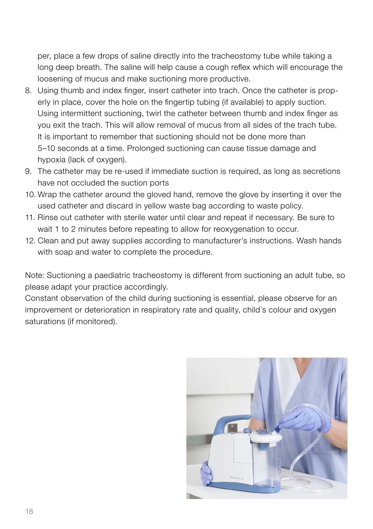per, place a few drops of saline directly into the tracheostomy tube while taking a long deep breath. The saline will help cause a cough reflex which will encourage the loosening of mucus and make suctioning more productive.

- 8. Using thumb and index finger, insert catheter into trach. Once the catheter is properly in place, cover the hole on the fingertip tubing (if available) to apply suction. Using intermittent suctioning, twirl the catheter between thumb and index finger as you exit the trach. This will allow removal of mucus from all sides of the trach tube. It is important to remember that suctioning should not be done more than 5–10 seconds at a time. Prolonged suctioning can cause tissue damage and hypoxia (lack of oxygen).
- 9. The catheter may be re-used if immediate suction is required, as long as secretions have not occluded the suction ports
- 10. Wrap the catheter around the gloved hand, remove the glove by inserting it over the used catheter and discard in yellow waste bag according to waste policy.
- 11. Rinse out catheter with sterile water until clear and repeat if necessary. Be sure to wait 1 to 2 minutes before repeating to allow for reoxygenation to occur.
- 12. Clean and put away supplies according to manufacturer's instructions. Wash hands with soap and water to complete the procedure.

Note: Suctioning a paediatric tracheostomy is different from suctioning an adult tube, so please adapt your practice accordingly.

Constant observation of the child during suctioning is essential, please observe for an improvement or deterioration in respiratory rate and quality, child`s colour and oxygen saturations (if monitored).

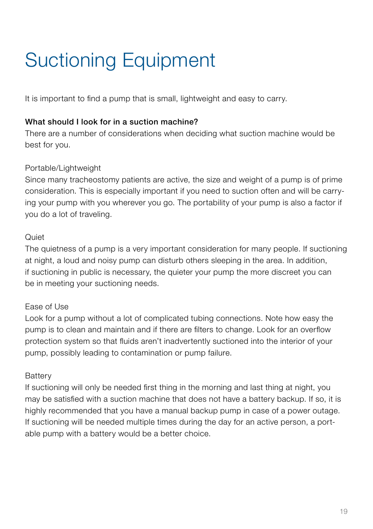## Suctioning Equipment

It is important to find a pump that is small, lightweight and easy to carry.

## What should I look for in a suction machine?

There are a number of considerations when deciding what suction machine would be best for you.

## Portable/Lightweight

Since many tracheostomy patients are active, the size and weight of a pump is of prime consideration. This is especially important if you need to suction often and will be carrying your pump with you wherever you go. The portability of your pump is also a factor if you do a lot of traveling.

## $Q$ uiet

The quietness of a pump is a very important consideration for many people. If suctioning at night, a loud and noisy pump can disturb others sleeping in the area. In addition, if suctioning in public is necessary, the quieter your pump the more discreet you can be in meeting your suctioning needs.

### Ease of Use

Look for a pump without a lot of complicated tubing connections. Note how easy the pump is to clean and maintain and if there are filters to change. Look for an overflow protection system so that fluids aren't inadvertently suctioned into the interior of your pump, possibly leading to contamination or pump failure.

### **Battery**

If suctioning will only be needed first thing in the morning and last thing at night, you may be satisfied with a suction machine that does not have a battery backup. If so, it is highly recommended that you have a manual backup pump in case of a power outage. If suctioning will be needed multiple times during the day for an active person, a portable pump with a battery would be a better choice.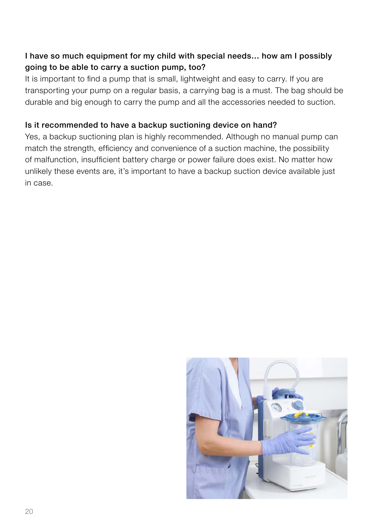## I have so much equipment for my child with special needs… how am I possibly going to be able to carry a suction pump, too?

It is important to find a pump that is small, lightweight and easy to carry. If you are transporting your pump on a regular basis, a carrying bag is a must. The bag should be durable and big enough to carry the pump and all the accessories needed to suction.

### Is it recommended to have a backup suctioning device on hand?

Yes, a backup suctioning plan is highly recommended. Although no manual pump can match the strength, efficiency and convenience of a suction machine, the possibility of malfunction, insufficient battery charge or power failure does exist. No matter how unlikely these events are, it's important to have a backup suction device available just in case.

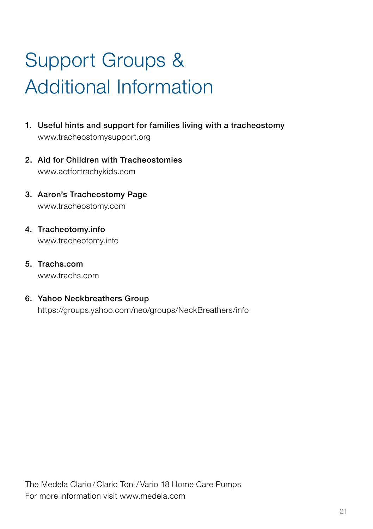# Support Groups & Additional Information

- 1. Useful hints and support for families living with a tracheostomy www.tracheostomysupport.org
- 2. Aid for Children with Tracheostomies www.actfortrachykids.com
- 3. Aaron's Tracheostomy Page www.tracheostomy.com
- 4. Tracheotomy.info www.tracheotomy.info
- 5. Trachs.com www.trachs.com

## 6. Yahoo Neckbreathers Group

https://groups.yahoo.com/neo/groups/NeckBreathers/info

The Medela Clario / Clario Toni/ Vario 18 Home Care Pumps For more information visit www.medela.com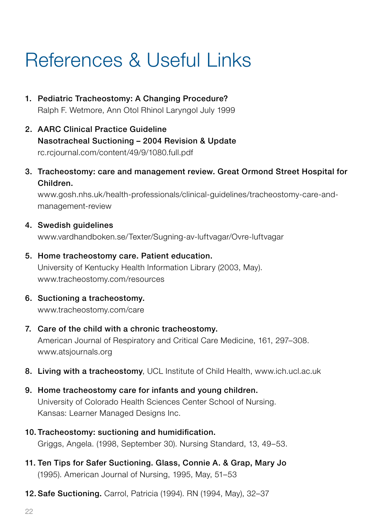## References & Useful Links

- 1. Pediatric Tracheostomy: A Changing Procedure? Ralph F. Wetmore, Ann Otol Rhinol Laryngol July 1999
- 2. AARC Clinical Practice Guideline Nasotracheal Suctioning – 2004 Revision & Update rc.rcjournal.com/content/49/9/1080.full.pdf
- 3. Tracheostomy: care and management review. Great Ormond Street Hospital for Children.

 www.gosh.nhs.uk/health-professionals/clinical-guidelines/tracheostomy-care-andmanagement-review

4. Swedish quidelines

www.vardhandboken.se/Texter/Sugning-av-luftvagar/Ovre-luftvagar

- 5. Home tracheostomy care. Patient education. University of Kentucky Health Information Library (2003, May). www.tracheostomy.com/resources
- 6. Suctioning a tracheostomy. www.tracheostomy.com/care
- 7. Care of the child with a chronic tracheostomy. American Journal of Respiratory and Critical Care Medicine, 161, 297–308. www.atsjournals.org
- 8. Living with a tracheostomy, UCL Institute of Child Health, www.ich.ucl.ac.uk
- 9. Home tracheostomy care for infants and young children. University of Colorado Health Sciences Center School of Nursing. Kansas: Learner Managed Designs Inc.
- 10. Tracheostomy: suctioning and humidification. Griggs, Angela. (1998, September 30). Nursing Standard, 13, 49–53.
- 11. Ten Tips for Safer Suctioning. Glass, Connie A. & Grap, Mary Jo (1995). American Journal of Nursing, 1995, May, 51–53
- 12. Safe Suctioning. Carrol, Patricia (1994). RN (1994, May), 32–37